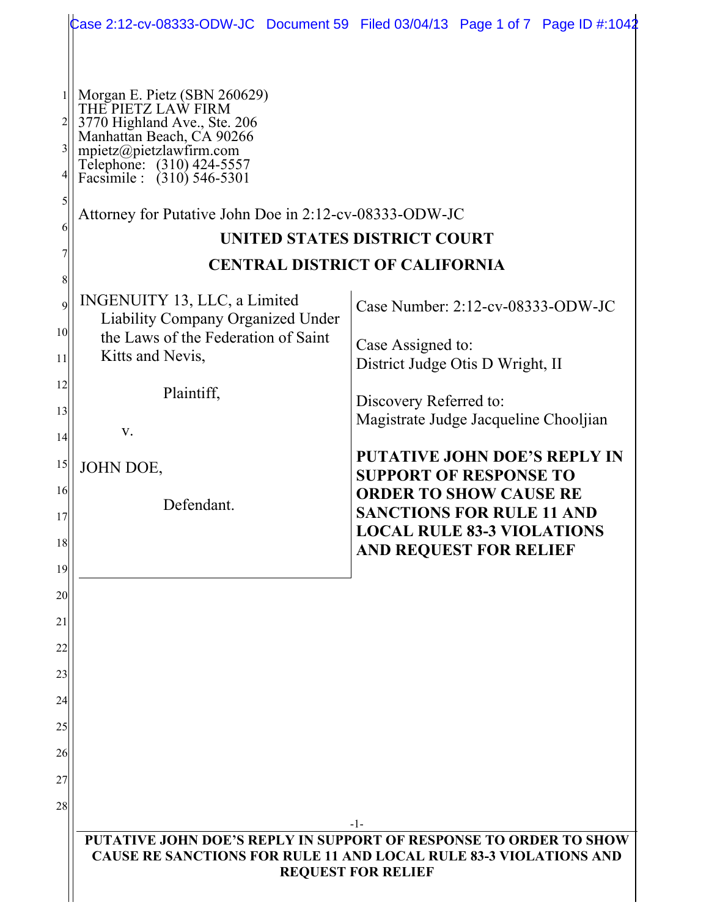|                       |                                                                                                                                                                                                                                                                 | Case 2:12-cv-08333-ODW-JC Document 59 Filed 03/04/13 Page 1 of 7 Page ID #:1042                                                                                          |  |  |  |  |  |
|-----------------------|-----------------------------------------------------------------------------------------------------------------------------------------------------------------------------------------------------------------------------------------------------------------|--------------------------------------------------------------------------------------------------------------------------------------------------------------------------|--|--|--|--|--|
| 3<br>5<br>6           | Morgan E. Pietz (SBN 260629)<br>THE PIETZ LAW FIRM<br>3770 Highland Ave., Ste. 206<br>Manhattan Beach, CA 90266<br>mpietz@pietzlawfirm.com<br>Telephone: (310) 424-5557<br>Facsimile : (310) 546-5301<br>Attorney for Putative John Doe in 2:12-cv-08333-ODW-JC | <b>UNITED STATES DISTRICT COURT</b><br><b>CENTRAL DISTRICT OF CALIFORNIA</b>                                                                                             |  |  |  |  |  |
| 8<br>9                | INGENUITY 13, LLC, a Limited                                                                                                                                                                                                                                    | Case Number: 2:12-cv-08333-ODW-JC                                                                                                                                        |  |  |  |  |  |
| 10 <sup>1</sup><br>11 | Liability Company Organized Under<br>the Laws of the Federation of Saint<br>Kitts and Nevis,                                                                                                                                                                    | Case Assigned to:<br>District Judge Otis D Wright, II                                                                                                                    |  |  |  |  |  |
| 12<br>13              | Plaintiff,                                                                                                                                                                                                                                                      | Discovery Referred to:<br>Magistrate Judge Jacqueline Chooljian                                                                                                          |  |  |  |  |  |
| 4 <br>15              | $V_{\cdot}$                                                                                                                                                                                                                                                     | <b>PUTATIVE JOHN DOE'S REPLY IN</b>                                                                                                                                      |  |  |  |  |  |
| 16<br>17<br>18<br>19  | JOHN DOE,<br>Defendant.                                                                                                                                                                                                                                         | <b>SUPPORT OF RESPONSE TO</b><br><b>ORDER TO SHOW CAUSE RE</b><br><b>SANCTIONS FOR RULE 11 AND</b><br><b>LOCAL RULE 83-3 VIOLATIONS</b><br><b>AND REQUEST FOR RELIEF</b> |  |  |  |  |  |
| 20                    |                                                                                                                                                                                                                                                                 |                                                                                                                                                                          |  |  |  |  |  |
| 21<br>22              |                                                                                                                                                                                                                                                                 |                                                                                                                                                                          |  |  |  |  |  |
| 23                    |                                                                                                                                                                                                                                                                 |                                                                                                                                                                          |  |  |  |  |  |
| 24<br>25              |                                                                                                                                                                                                                                                                 |                                                                                                                                                                          |  |  |  |  |  |
| 26                    |                                                                                                                                                                                                                                                                 |                                                                                                                                                                          |  |  |  |  |  |
| 27                    |                                                                                                                                                                                                                                                                 |                                                                                                                                                                          |  |  |  |  |  |
| 28                    |                                                                                                                                                                                                                                                                 | -1-                                                                                                                                                                      |  |  |  |  |  |
|                       | PUTATIVE JOHN DOE'S REPLY IN SUPPORT OF RESPONSE TO ORDER TO SHOW<br><b>CAUSE RE SANCTIONS FOR RULE 11 AND LOCAL RULE 83-3 VIOLATIONS AND</b><br><b>REQUEST FOR RELIEF</b>                                                                                      |                                                                                                                                                                          |  |  |  |  |  |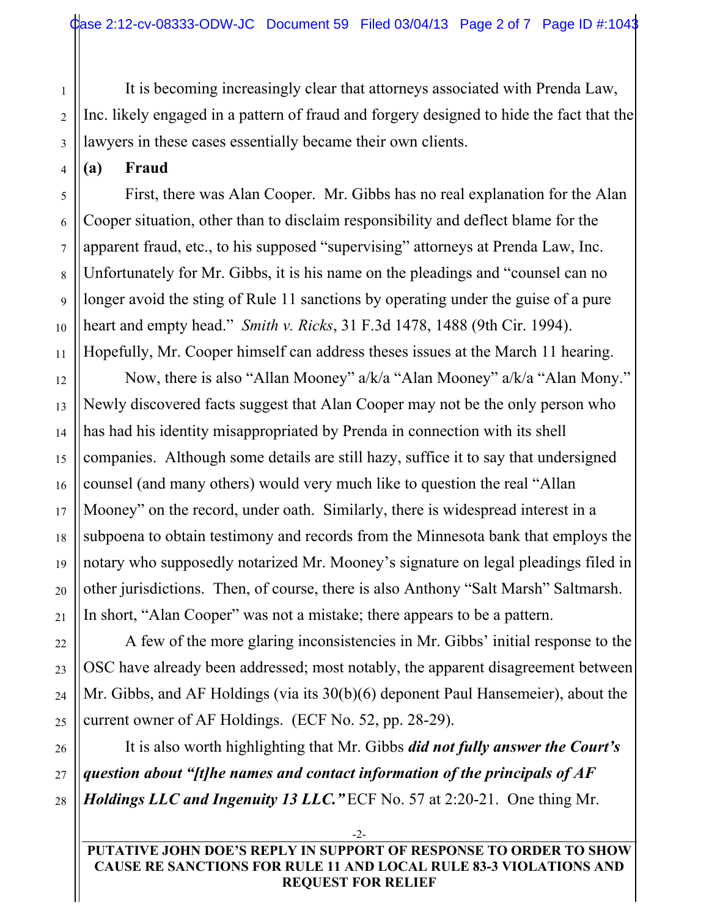It is becoming increasingly clear that attorneys associated with Prenda Law, Inc. likely engaged in a pattern of fraud and forgery designed to hide the fact that the lawyers in these cases essentially became their own clients.

**(a) Fraud**

First, there was Alan Cooper. Mr. Gibbs has no real explanation for the Alan Cooper situation, other than to disclaim responsibility and deflect blame for the apparent fraud, etc., to his supposed "supervising" attorneys at Prenda Law, Inc. Unfortunately for Mr. Gibbs, it is his name on the pleadings and "counsel can no longer avoid the sting of Rule 11 sanctions by operating under the guise of a pure heart and empty head." *Smith v. Ricks*, 31 F.3d 1478, 1488 (9th Cir. 1994). Hopefully, Mr. Cooper himself can address theses issues at the March 11 hearing.

Now, there is also "Allan Mooney" a/k/a "Alan Mooney" a/k/a "Alan Mony." Newly discovered facts suggest that Alan Cooper may not be the only person who has had his identity misappropriated by Prenda in connection with its shell companies. Although some details are still hazy, suffice it to say that undersigned counsel (and many others) would very much like to question the real "Allan Mooney" on the record, under oath. Similarly, there is widespread interest in a subpoena to obtain testimony and records from the Minnesota bank that employs the notary who supposedly notarized Mr. Mooney's signature on legal pleadings filed in other jurisdictions. Then, of course, there is also Anthony "Salt Marsh" Saltmarsh. In short, "Alan Cooper" was not a mistake; there appears to be a pattern.

A few of the more glaring inconsistencies in Mr. Gibbs' initial response to the OSC have already been addressed; most notably, the apparent disagreement between Mr. Gibbs, and AF Holdings (via its 30(b)(6) deponent Paul Hansemeier), about the current owner of AF Holdings. (ECF No. 52, pp. 28-29).

It is also worth highlighting that Mr. Gibbs *did not fully answer the Court's question about "[t]he names and contact information of the principals of AF Holdings LLC and Ingenuity 13 LLC."* ECF No. 57 at 2:20-21. One thing Mr.

**PUTATIVE JOHN DOE'S REPLY IN SUPPORT OF RESPONSE TO ORDER TO SHOW CAUSE RE SANCTIONS FOR RULE 11 AND LOCAL RULE 83-3 VIOLATIONS AND REQUEST FOR RELIEF**

-2-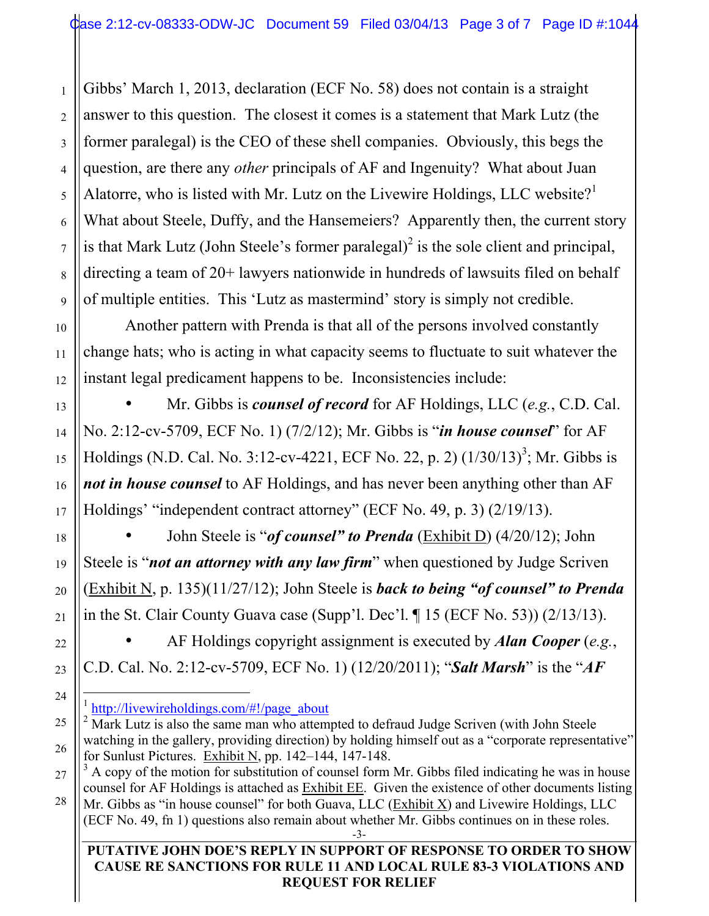Gibbs' March 1, 2013, declaration (ECF No. 58) does not contain is a straight answer to this question. The closest it comes is a statement that Mark Lutz (the former paralegal) is the CEO of these shell companies. Obviously, this begs the question, are there any *other* principals of AF and Ingenuity? What about Juan Alatorre, who is listed with Mr. Lutz on the Livewire Holdings, LLC website?<sup>1</sup> What about Steele, Duffy, and the Hansemeiers? Apparently then, the current story is that Mark Lutz (John Steele's former paralegal) $^2$  is the sole client and principal, directing a team of 20+ lawyers nationwide in hundreds of lawsuits filed on behalf of multiple entities. This 'Lutz as mastermind' story is simply not credible.

Another pattern with Prenda is that all of the persons involved constantly change hats; who is acting in what capacity seems to fluctuate to suit whatever the instant legal predicament happens to be. Inconsistencies include:

• Mr. Gibbs is *counsel of record* for AF Holdings, LLC (*e.g.*, C.D. Cal. No. 2:12-cv-5709, ECF No. 1) (7/2/12); Mr. Gibbs is "*in house counsel*" for AF Holdings (N.D. Cal. No. 3:12-cv-4221, ECF No. 22, p. 2)  $(1/30/13)^3$ ; Mr. Gibbs is *not in house counsel* to AF Holdings, and has never been anything other than AF Holdings' "independent contract attorney" (ECF No. 49, p. 3) (2/19/13).

• John Steele is "*of counsel" to Prenda* (Exhibit D) (4/20/12); John Steele is "*not an attorney with any law firm*" when questioned by Judge Scriven (Exhibit N, p. 135)(11/27/12); John Steele is *back to being "of counsel" to Prenda* in the St. Clair County Guava case (Supp'l. Dec'l. ¶ 15 (ECF No. 53)) (2/13/13).

• AF Holdings copyright assignment is executed by *Alan Cooper* (*e.g.*, C.D. Cal. No. 2:12-cv-5709, ECF No. 1) (12/20/2011); "*Salt Marsh*" is the "*AF* 

-3- (ECF No. 49, fn 1) questions also remain about whether Mr. Gibbs continues on in these roles.

**PUTATIVE JOHN DOE'S REPLY IN SUPPORT OF RESPONSE TO ORDER TO SHOW CAUSE RE SANCTIONS FOR RULE 11 AND LOCAL RULE 83-3 VIOLATIONS AND REQUEST FOR RELIEF**

1

2

3

http://livewireholdings.com/#!/page\_about

<sup>&</sup>lt;sup>2</sup> Mark Lutz is also the same man who attempted to defraud Judge Scriven (with John Steele watching in the gallery, providing direction) by holding himself out as a "corporate representative" for Sunlust Pictures. Exhibit N, pp. 142–144, 147-148.

 $3 \text{ A copy of the motion for substitution of, the number of times per unit.}$  The motion for substitution of counsel form Mr. Gibbs filed indicating he was in house counsel for AF Holdings is attached as Exhibit EE. Given the existence of other documents listing Mr. Gibbs as "in house counsel" for both Guava, LLC  $(Exhibit X)$  and Livewire Holdings, LLC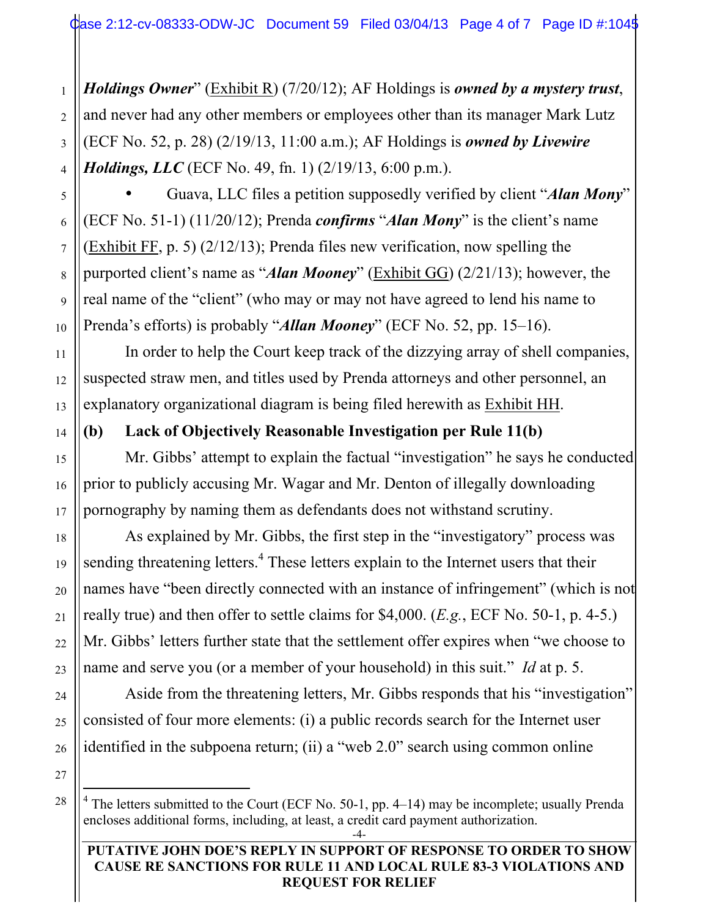*Holdings Owner*" (Exhibit R) (7/20/12); AF Holdings is *owned by a mystery trust*, and never had any other members or employees other than its manager Mark Lutz (ECF No. 52, p. 28) (2/19/13, 11:00 a.m.); AF Holdings is *owned by Livewire Holdings, LLC* (ECF No. 49, fn. 1) (2/19/13, 6:00 p.m.).

• Guava, LLC files a petition supposedly verified by client "*Alan Mony*" (ECF No. 51-1) (11/20/12); Prenda *confirms* "*Alan Mony*" is the client's name (Exhibit FF, p. 5) (2/12/13); Prenda files new verification, now spelling the purported client's name as "*Alan Mooney*" (Exhibit GG) (2/21/13); however, the real name of the "client" (who may or may not have agreed to lend his name to Prenda's efforts) is probably "*Allan Mooney*" (ECF No. 52, pp. 15–16).

In order to help the Court keep track of the dizzying array of shell companies, suspected straw men, and titles used by Prenda attorneys and other personnel, an explanatory organizational diagram is being filed herewith as Exhibit HH.

### **(b) Lack of Objectively Reasonable Investigation per Rule 11(b)**

Mr. Gibbs' attempt to explain the factual "investigation" he says he conducted prior to publicly accusing Mr. Wagar and Mr. Denton of illegally downloading pornography by naming them as defendants does not withstand scrutiny.

As explained by Mr. Gibbs, the first step in the "investigatory" process was sending threatening letters.<sup>4</sup> These letters explain to the Internet users that their names have "been directly connected with an instance of infringement" (which is not really true) and then offer to settle claims for \$4,000. (*E.g.*, ECF No. 50-1, p. 4-5.) Mr. Gibbs' letters further state that the settlement offer expires when "we choose to name and serve you (or a member of your household) in this suit." *Id* at p. 5.

Aside from the threatening letters, Mr. Gibbs responds that his "investigation" consisted of four more elements: (i) a public records search for the Internet user identified in the subpoena return; (ii) a "web 2.0" search using common online

-4-  $\frac{1}{4}$ <sup>4</sup> The letters submitted to the Court (ECF No. 50-1, pp. 4–14) may be incomplete; usually Prenda encloses additional forms, including, at least, a credit card payment authorization.

### **PUTATIVE JOHN DOE'S REPLY IN SUPPORT OF RESPONSE TO ORDER TO SHOW CAUSE RE SANCTIONS FOR RULE 11 AND LOCAL RULE 83-3 VIOLATIONS AND REQUEST FOR RELIEF**

1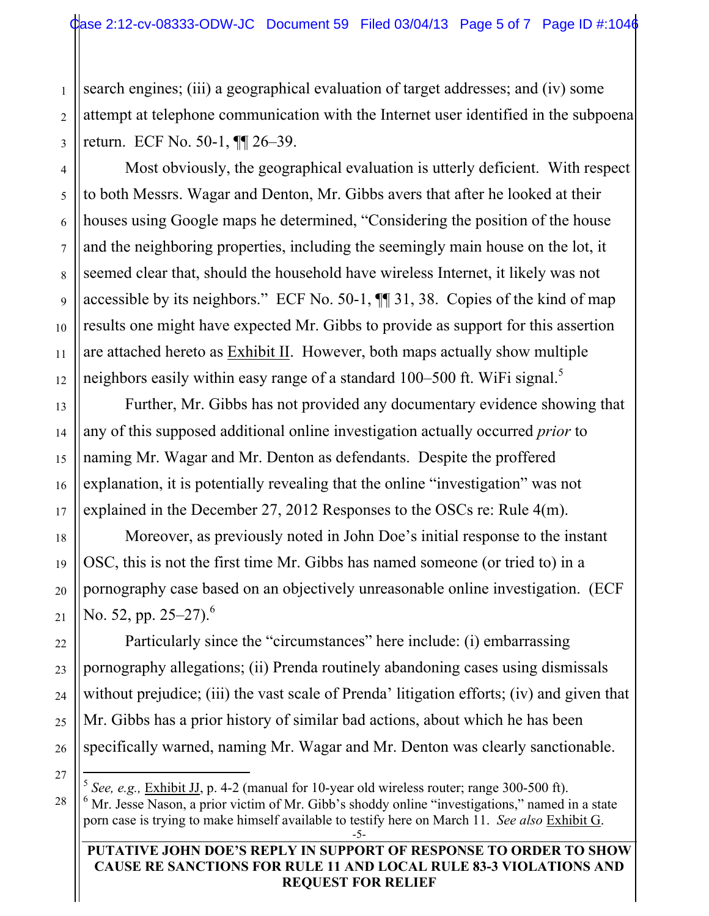search engines; (iii) a geographical evaluation of target addresses; and (iv) some attempt at telephone communication with the Internet user identified in the subpoena return. ECF No. 50-1, ¶¶ 26–39.

Most obviously, the geographical evaluation is utterly deficient. With respect to both Messrs. Wagar and Denton, Mr. Gibbs avers that after he looked at their houses using Google maps he determined, "Considering the position of the house and the neighboring properties, including the seemingly main house on the lot, it seemed clear that, should the household have wireless Internet, it likely was not accessible by its neighbors." ECF No. 50-1, ¶¶ 31, 38. Copies of the kind of map results one might have expected Mr. Gibbs to provide as support for this assertion are attached hereto as Exhibit II. However, both maps actually show multiple neighbors easily within easy range of a standard 100–500 ft. WiFi signal.<sup>5</sup>

Further, Mr. Gibbs has not provided any documentary evidence showing that any of this supposed additional online investigation actually occurred *prior* to naming Mr. Wagar and Mr. Denton as defendants. Despite the proffered explanation, it is potentially revealing that the online "investigation" was not explained in the December 27, 2012 Responses to the OSCs re: Rule 4(m).

Moreover, as previously noted in John Doe's initial response to the instant OSC, this is not the first time Mr. Gibbs has named someone (or tried to) in a pornography case based on an objectively unreasonable online investigation. (ECF No. 52, pp. 25–27).<sup>6</sup>

Particularly since the "circumstances" here include: (i) embarrassing pornography allegations; (ii) Prenda routinely abandoning cases using dismissals without prejudice; (iii) the vast scale of Prenda' litigation efforts; (iv) and given that Mr. Gibbs has a prior history of similar bad actions, about which he has been specifically warned, naming Mr. Wagar and Mr. Denton was clearly sanctionable.

26 27

28

1

2

3

4

5

6

7

8

9

10

11

12

13

14

15

16

17

18

19

20

21

22

23

24

25

#### **PUTATIVE JOHN DOE'S REPLY IN SUPPORT OF RESPONSE TO ORDER TO SHOW CAUSE RE SANCTIONS FOR RULE 11 AND LOCAL RULE 83-3 VIOLATIONS AND REQUEST FOR RELIEF**

 <sup>5</sup> *See, e.g.,* Exhibit JJ, p. 4-2 (manual for 10-year old wireless router; range 300-500 ft).

<sup>-5-</sup> <sup>6</sup> Mr. Jesse Nason, a prior victim of Mr. Gibb's shoddy online "investigations," named in a state porn case is trying to make himself available to testify here on March 11. *See also* Exhibit G.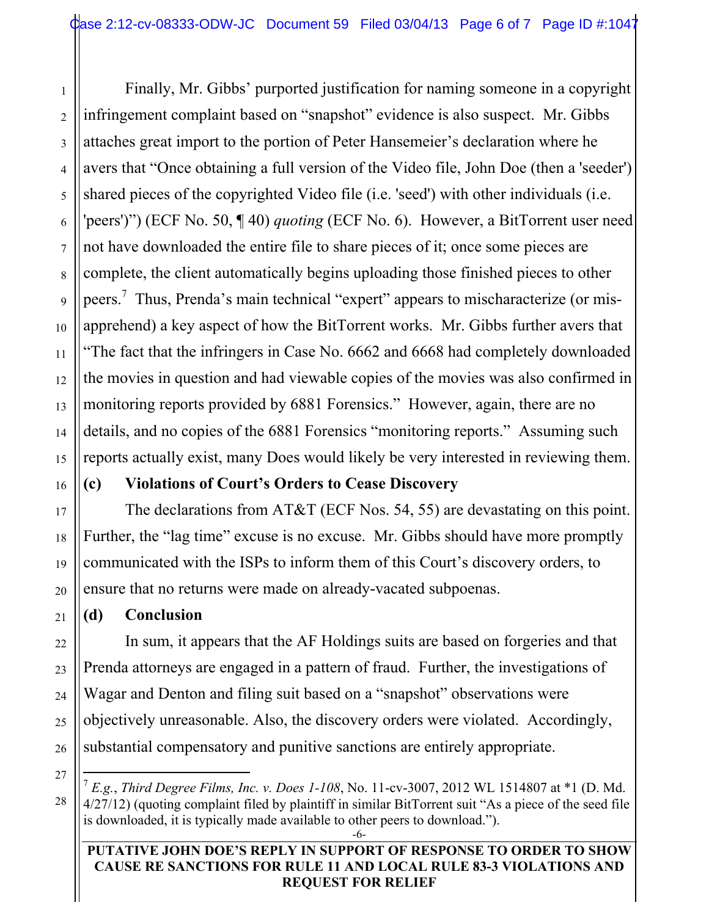Finally, Mr. Gibbs' purported justification for naming someone in a copyright infringement complaint based on "snapshot" evidence is also suspect. Mr. Gibbs attaches great import to the portion of Peter Hansemeier's declaration where he avers that "Once obtaining a full version of the Video file, John Doe (then a 'seeder') shared pieces of the copyrighted Video file (i.e. 'seed') with other individuals (i.e. 'peers')") (ECF No. 50, ¶ 40) *quoting* (ECF No. 6). However, a BitTorrent user need not have downloaded the entire file to share pieces of it; once some pieces are complete, the client automatically begins uploading those finished pieces to other peers.<sup>7</sup> Thus, Prenda's main technical "expert" appears to mischaracterize (or misapprehend) a key aspect of how the BitTorrent works. Mr. Gibbs further avers that "The fact that the infringers in Case No. 6662 and 6668 had completely downloaded the movies in question and had viewable copies of the movies was also confirmed in monitoring reports provided by 6881 Forensics." However, again, there are no details, and no copies of the 6881 Forensics "monitoring reports." Assuming such reports actually exist, many Does would likely be very interested in reviewing them.

# **(c) Violations of Court's Orders to Cease Discovery**

The declarations from AT&T (ECF Nos. 54, 55) are devastating on this point. Further, the "lag time" excuse is no excuse. Mr. Gibbs should have more promptly communicated with the ISPs to inform them of this Court's discovery orders, to ensure that no returns were made on already-vacated subpoenas.

# **(d) Conclusion**

In sum, it appears that the AF Holdings suits are based on forgeries and that Prenda attorneys are engaged in a pattern of fraud. Further, the investigations of Wagar and Denton and filing suit based on a "snapshot" observations were objectively unreasonable. Also, the discovery orders were violated. Accordingly, substantial compensatory and punitive sanctions are entirely appropriate.

27

28

1

2

3

4

5

6

7

8

9

10

11

12

13

14

15

16

17

18

19

20

21

22

23

24

25

26

### **PUTATIVE JOHN DOE'S REPLY IN SUPPORT OF RESPONSE TO ORDER TO SHOW CAUSE RE SANCTIONS FOR RULE 11 AND LOCAL RULE 83-3 VIOLATIONS AND REQUEST FOR RELIEF**

<sup>-6-</sup> 7 *E.g.*, *Third Degree Films, Inc. v. Does 1-108*, No. 11-cv-3007, 2012 WL 1514807 at \*1 (D. Md. 4/27/12) (quoting complaint filed by plaintiff in similar BitTorrent suit "As a piece of the seed file is downloaded, it is typically made available to other peers to download.").